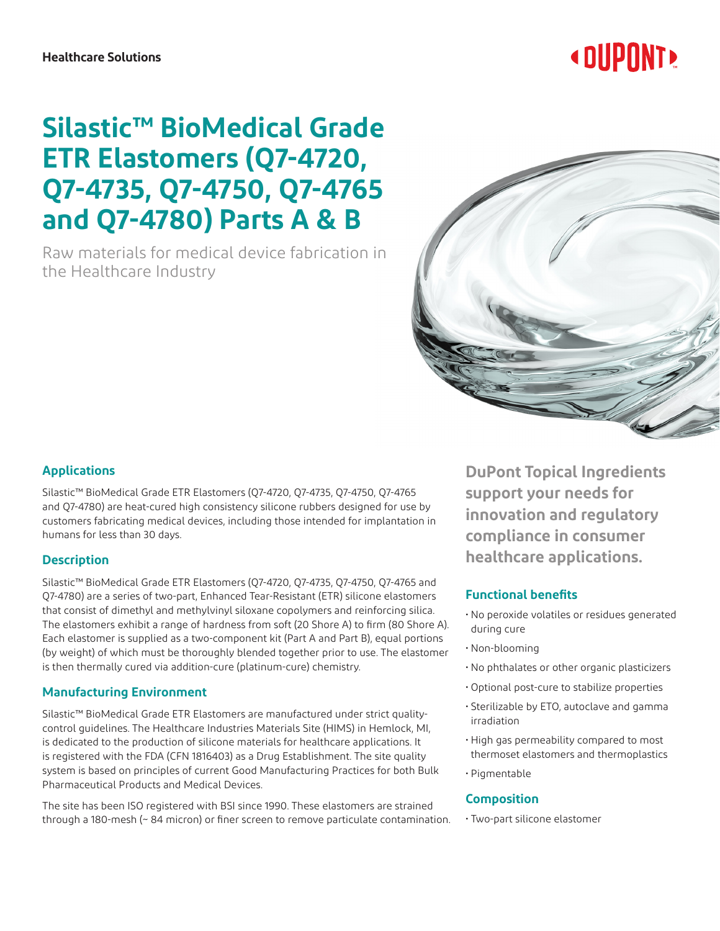#### **Healthcare Solutions**

# **« DUPONT!**

## **Silastic™ BioMedical Grade ETR Elastomers (Q7-4720, Q7-4735, Q7-4750, Q7-4765 and Q7-4780) Parts A & B**

Raw materials for medical device fabrication in the Healthcare Industry



### **Applications**

Silastic™ BioMedical Grade ETR Elastomers (Q7-4720, Q7-4735, Q7-4750, Q7-4765 and Q7-4780) are heat-cured high consistency silicone rubbers designed for use by customers fabricating medical devices, including those intended for implantation in humans for less than 30 days.

#### **Description**

Silastic™ BioMedical Grade ETR Elastomers (Q7-4720, Q7-4735, Q7-4750, Q7-4765 and Q7-4780) are a series of two-part, Enhanced Tear-Resistant (ETR) silicone elastomers that consist of dimethyl and methylvinyl siloxane copolymers and reinforcing silica. The elastomers exhibit a range of hardness from soft (20 Shore A) to firm (80 Shore A). Each elastomer is supplied as a two-component kit (Part A and Part B), equal portions (by weight) of which must be thoroughly blended together prior to use. The elastomer is then thermally cured via addition-cure (platinum-cure) chemistry.

#### **Manufacturing Environment**

Silastic™ BioMedical Grade ETR Elastomers are manufactured under strict qualitycontrol guidelines. The Healthcare Industries Materials Site (HIMS) in Hemlock, MI, is dedicated to the production of silicone materials for healthcare applications. It is registered with the FDA (CFN 1816403) as a Drug Establishment. The site quality system is based on principles of current Good Manufacturing Practices for both Bulk Pharmaceutical Products and Medical Devices.

The site has been ISO registered with BSI since 1990. These elastomers are strained through a 180-mesh (~ 84 micron) or finer screen to remove particulate contamination.

**DuPont Topical Ingredients support your needs for innovation and regulatory compliance in consumer healthcare applications.**

### **Functional benefits**

- No peroxide volatiles or residues generated during cure
- Non-blooming
- No phthalates or other organic plasticizers
- Optional post-cure to stabilize properties
- Sterilizable by ETO, autoclave and gamma irradiation
- High gas permeability compared to most thermoset elastomers and thermoplastics
- Pigmentable

#### **Composition**

• Two-part silicone elastomer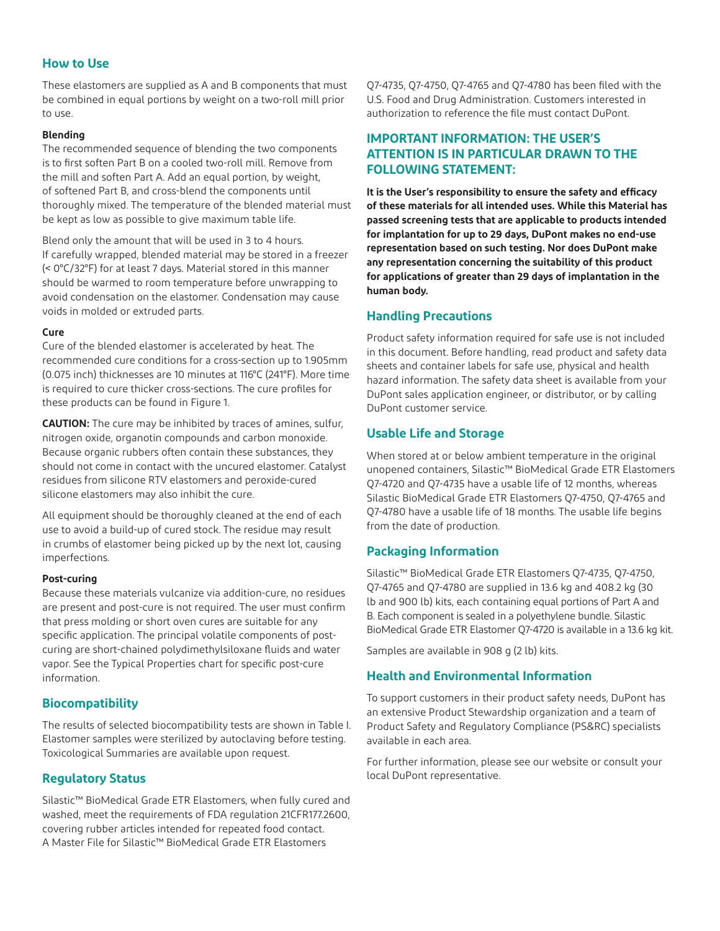#### **How to Use**

These elastomers are supplied as A and B components that must be combined in equal portions by weight on a two-roll mill prior to use.

#### **Blending**

The recommended sequence of blending the two components is to first soften Part B on a cooled two-roll mill. Remove from the mill and soften Part A. Add an equal portion, by weight, of softened Part B, and cross-blend the components until thoroughly mixed. The temperature of the blended material must be kept as low as possible to give maximum table life.

Blend only the amount that will be used in 3 to 4 hours. If carefully wrapped, blended material may be stored in a freezer (< 0°C/32°F) for at least 7 days. Material stored in this manner should be warmed to room temperature before unwrapping to avoid condensation on the elastomer. Condensation may cause voids in molded or extruded parts.

#### **Cure**

Cure of the blended elastomer is accelerated by heat. The recommended cure conditions for a cross-section up to 1.905mm (0.075 inch) thicknesses are 10 minutes at 116°C (241°F). More time is required to cure thicker cross-sections. The cure profiles for these products can be found in Figure 1.

**CAUTION:** The cure may be inhibited by traces of amines, sulfur, nitrogen oxide, organotin compounds and carbon monoxide. Because organic rubbers often contain these substances, they should not come in contact with the uncured elastomer. Catalyst residues from silicone RTV elastomers and peroxide-cured silicone elastomers may also inhibit the cure.

All equipment should be thoroughly cleaned at the end of each use to avoid a build-up of cured stock. The residue may result in crumbs of elastomer being picked up by the next lot, causing imperfections.

#### **Post-curing**

Because these materials vulcanize via addition-cure, no residues are present and post-cure is not required. The user must confirm that press molding or short oven cures are suitable for any specific application. The principal volatile components of postcuring are short-chained polydimethylsiloxane fluids and water vapor. See the Typical Properties chart for specific post-cure information.

#### **Biocompatibility**

The results of selected biocompatibility tests are shown in Table I. Elastomer samples were sterilized by autoclaving before testing. Toxicological Summaries are available upon request.

#### **Regulatory Status**

Silastic™ BioMedical Grade ETR Elastomers, when fully cured and washed, meet the requirements of FDA regulation 21CFR177.2600, covering rubber articles intended for repeated food contact. A Master File for Silastic™ BioMedical Grade ETR Elastomers

Q7-4735, Q7-4750, Q7-4765 and Q7-4780 has been filed with the U.S. Food and Drug Administration. Customers interested in authorization to reference the file must contact DuPont.

#### **IMPORTANT INFORMATION: THE USER'S ATTENTION IS IN PARTICULAR DRAWN TO THE FOLLOWING STATEMENT:**

**It is the User's responsibility to ensure the safety and efficacy of these materials for all intended uses. While this Material has passed screening tests that are applicable to products intended for implantation for up to 29 days, DuPont makes no end-use representation based on such testing. Nor does DuPont make any representation concerning the suitability of this product for applications of greater than 29 days of implantation in the human body.**

#### **Handling Precautions**

Product safety information required for safe use is not included in this document. Before handling, read product and safety data sheets and container labels for safe use, physical and health hazard information. The safety data sheet is available from your DuPont sales application engineer, or distributor, or by calling DuPont customer service.

#### **Usable Life and Storage**

When stored at or below ambient temperature in the original unopened containers, Silastic™ BioMedical Grade ETR Elastomers Q7-4720 and Q7-4735 have a usable life of 12 months, whereas Silastic BioMedical Grade ETR Elastomers Q7-4750, Q7-4765 and Q7-4780 have a usable life of 18 months. The usable life begins from the date of production.

#### **Packaging Information**

Silastic™ BioMedical Grade ETR Elastomers Q7-4735, Q7-4750, Q7-4765 and Q7-4780 are supplied in 13.6 kg and 408.2 kg (30 lb and 900 lb) kits, each containing equal portions of Part A and B. Each component is sealed in a polyethylene bundle. Silastic BioMedical Grade ETR Elastomer Q7-4720 is available in a 13.6 kg kit.

Samples are available in 908 g (2 lb) kits.

#### **Health and Environmental Information**

To support customers in their product safety needs, DuPont has an extensive Product Stewardship organization and a team of Product Safety and Regulatory Compliance (PS&RC) specialists available in each area.

For further information, please see our website or consult your local DuPont representative.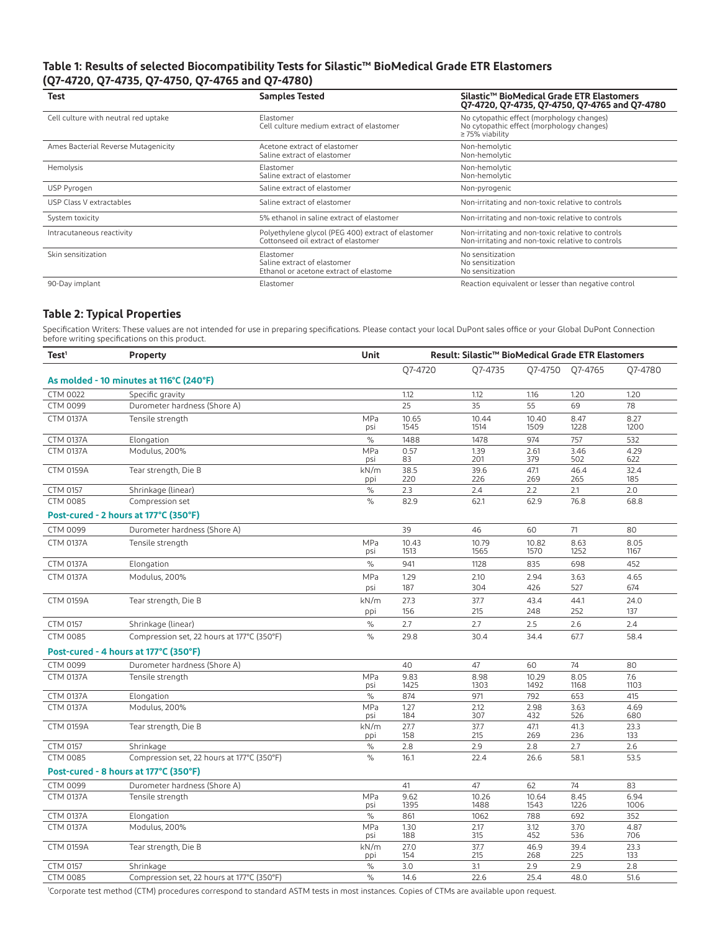#### **Table 1: Results of selected Biocompatibility Tests for Silastic™ BioMedical Grade ETR Elastomers (Q7-4720, Q7-4735, Q7-4750, Q7-4765 and Q7-4780)**

| Test                                 | <b>Samples Tested</b>                                                                     | Silastic™ BioMedical Grade ETR Elastomers<br>Q7-4720, Q7-4735, Q7-4750, Q7-4765 and Q7-4780                    |  |
|--------------------------------------|-------------------------------------------------------------------------------------------|----------------------------------------------------------------------------------------------------------------|--|
| Cell culture with neutral red uptake | Elastomer<br>Cell culture medium extract of elastomer                                     | No cytopathic effect (morphology changes)<br>No cytopathic effect (morphology changes)<br>$\geq$ 75% viability |  |
| Ames Bacterial Reverse Mutagenicity  | Acetone extract of elastomer<br>Saline extract of elastomer                               | Non-hemolytic<br>Non-hemolytic                                                                                 |  |
| Hemolysis                            | Elastomer<br>Saline extract of elastomer                                                  | Non-hemolytic<br>Non-hemolytic                                                                                 |  |
| USP Pyrogen                          | Saline extract of elastomer                                                               | Non-pyrogenic                                                                                                  |  |
| USP Class V extractables             | Saline extract of elastomer                                                               | Non-irritating and non-toxic relative to controls                                                              |  |
| System toxicity                      | 5% ethanol in saline extract of elastomer                                                 | Non-irritating and non-toxic relative to controls                                                              |  |
| Intracutaneous reactivity            | Polyethylene glycol (PEG 400) extract of elastomer<br>Cottonseed oil extract of elastomer | Non-irritating and non-toxic relative to controls<br>Non-irritating and non-toxic relative to controls         |  |
| Skin sensitization                   | Elastomer<br>Saline extract of elastomer<br>Ethanol or acetone extract of elastome        | No sensitization<br>No sensitization<br>No sensitization                                                       |  |
| 90-Day implant                       | Elastomer                                                                                 | Reaction equivalent or lesser than negative control                                                            |  |

#### **Table 2: Typical Properties**

Specification Writers: These values are not intended for use in preparing specifications. Please contact your local DuPont sales office or your Global DuPont Connection before writing specifications on this product.

| Test <sup>1</sup> | <b>Property</b>                            | Unit          | Result: Silastic™ BioMedical Grade ETR Elastomers |               |               |              |              |
|-------------------|--------------------------------------------|---------------|---------------------------------------------------|---------------|---------------|--------------|--------------|
|                   |                                            |               | 07-4720                                           | 07-4735       | 07-4750       | 07-4765      | 07-4780      |
|                   | As molded - 10 minutes at 116°C (240°F)    |               |                                                   |               |               |              |              |
| <b>CTM 0022</b>   | Specific gravity                           |               | 1.12                                              | 1.12          | 1.16          | 1.20         | 1.20         |
| CTM 0099          | Durometer hardness (Shore A)               |               | 25                                                | 35            | 55            | 69           | 78           |
| <b>CTM 0137A</b>  | Tensile strength                           | MPa<br>psi    | 10.65<br>1545                                     | 10.44<br>1514 | 10.40<br>1509 | 8.47<br>1228 | 8.27<br>1200 |
| <b>CTM 0137A</b>  | Elongation                                 | $\frac{0}{0}$ | 1488                                              | 1478          | 974           | 757          | 532          |
| <b>CTM 0137A</b>  | Modulus, 200%                              | MPa<br>psi    | 0.57<br>83                                        | 1.39<br>201   | 2.61<br>379   | 3.46<br>502  | 4.29<br>622  |
| <b>CTM 0159A</b>  | Tear strength, Die B                       | kN/m<br>ppi   | 38.5<br>220                                       | 39.6<br>226   | 47.1<br>269   | 46.4<br>265  | 32.4<br>185  |
| <b>CTM 0157</b>   | Shrinkage (linear)                         | $\%$          | 2.3                                               | 2.4           | 2.2           | 2.1          | 2.0          |
| <b>CTM 0085</b>   | Compression set                            | $\%$          | 82.9                                              | 62.1          | 62.9          | 76.8         | 68.8         |
|                   | Post-cured - 2 hours at 177°C (350°F)      |               |                                                   |               |               |              |              |
| <b>CTM 0099</b>   | Durometer hardness (Shore A)               |               | 39                                                | 46            | 60            | 71           | 80           |
| <b>CTM 0137A</b>  | Tensile strength                           | MPa<br>psi    | 10.43<br>1513                                     | 10.79<br>1565 | 10.82<br>1570 | 8.63<br>1252 | 8.05<br>1167 |
| <b>CTM 0137A</b>  | Elongation                                 | $\%$          | 941                                               | 1128          | 835           | 698          | 452          |
| <b>CTM 0137A</b>  | Modulus, 200%                              | MPa           | 1.29                                              | 2.10          | 2.94          | 3.63         | 4.65         |
|                   |                                            | psi           | 187                                               | 304           | 426           | 527          | 674          |
| <b>CTM 0159A</b>  | Tear strength, Die B                       | kN/m          | 27.3                                              | 37.7          | 43.4          | 44.1         | 24.0         |
|                   |                                            | ppi           | 156                                               | 215           | 248           | 252          | 137          |
| <b>CTM 0157</b>   | Shrinkage (linear)                         | $\frac{0}{0}$ | 2.7                                               | 2.7           | 2.5           | 2.6          | 2.4          |
| <b>CTM 0085</b>   | Compression set, 22 hours at 177°C (350°F) | $\%$          | 29.8                                              | 30.4          | 34.4          | 67.7         | 58.4         |
|                   | Post-cured - 4 hours at 177°C (350°F)      |               |                                                   |               |               |              |              |
| <b>CTM 0099</b>   | Durometer hardness (Shore A)               |               | 40                                                | 47            | 60            | 74           | 80           |
| <b>CTM 0137A</b>  | Tensile strength                           | MPa<br>psi    | 9.83<br>1425                                      | 8.98<br>1303  | 10.29<br>1492 | 8.05<br>1168 | 7.6<br>1103  |
| <b>CTM 0137A</b>  | Elongation                                 | $\frac{0}{0}$ | 874                                               | 971           | 792           | 653          | 415          |
| <b>CTM 0137A</b>  | Modulus, 200%                              | MPa<br>psi    | 1.27<br>184                                       | 2.12<br>307   | 2.98<br>432   | 3.63<br>526  | 4.69<br>680  |
| <b>CTM 0159A</b>  | Tear strength, Die B                       | kN/m<br>ppi   | 27.7<br>158                                       | 37.7<br>215   | 47.1<br>269   | 41.3<br>236  | 23.3<br>133  |
| <b>CTM 0157</b>   | Shrinkage                                  | $\%$          | 2.8                                               | 2.9           | 2.8           | 2.7          | 2.6          |
| <b>CTM 0085</b>   | Compression set, 22 hours at 177°C (350°F) | $\%$          | 16.1                                              | 22.4          | 26.6          | 58.1         | 53.5         |
|                   | Post-cured - 8 hours at 177°C (350°F)      |               |                                                   |               |               |              |              |
| <b>CTM 0099</b>   | Durometer hardness (Shore A)               |               | 41                                                | 47            | 62            | 74           | 83           |
| <b>CTM 0137A</b>  | Tensile strength                           | MPa<br>psi    | 9.62<br>1395                                      | 10.26<br>1488 | 10.64<br>1543 | 8.45<br>1226 | 6.94<br>1006 |
| <b>CTM 0137A</b>  | Elongation                                 | $\%$          | 861                                               | 1062          | 788           | 692          | 352          |
| <b>CTM 0137A</b>  | Modulus, 200%                              | MPa<br>psi    | 1.30<br>188                                       | 2.17<br>315   | 3.12<br>452   | 3.70<br>536  | 4.87<br>706  |
| <b>CTM 0159A</b>  | Tear strength, Die B                       | kN/m<br>ppi   | 27.0<br>154                                       | 37.7<br>215   | 46.9<br>268   | 39.4<br>225  | 23.3<br>133  |
| <b>CTM 0157</b>   | Shrinkage                                  | $\%$          | 3.0                                               | 3.1           | 2.9           | 2.9          | 2.8          |
| <b>CTM 0085</b>   | Compression set, 22 hours at 177°C (350°F) | $\frac{0}{0}$ | 14.6                                              | 22.6          | 25.4          | 48.0         | 51.6         |

1 Corporate test method (CTM) procedures correspond to standard ASTM tests in most instances. Copies of CTMs are available upon request.